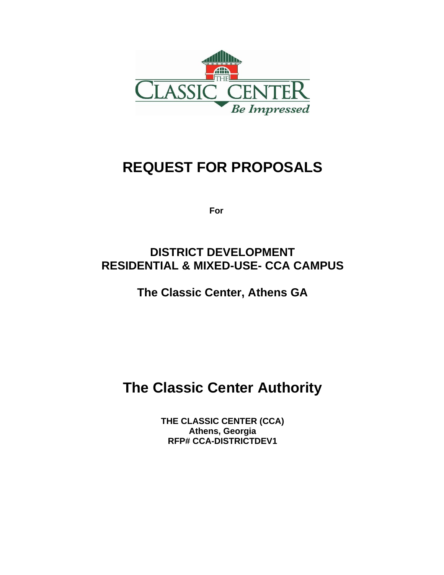

# **REQUEST FOR PROPOSALS**

 **For** 

## **DISTRICT DEVELOPMENT RESIDENTIAL & MIXED-USE- CCA CAMPUS**

**The Classic Center, Athens GA**

# **The Classic Center Authority**

**THE CLASSIC CENTER (CCA) Athens, Georgia RFP# CCA-DISTRICTDEV1**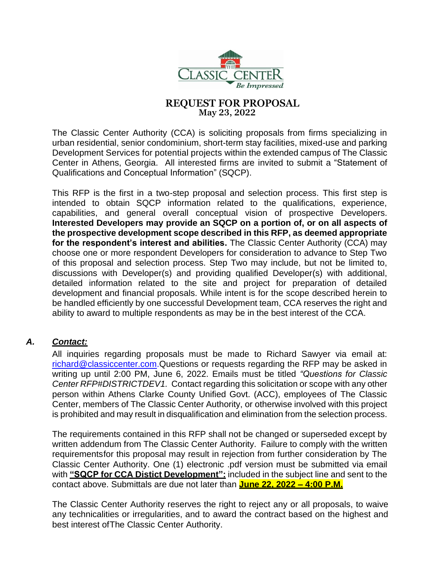

#### **REQUEST FOR PROPOSAL May 23, 2022**

The Classic Center Authority (CCA) is soliciting proposals from firms specializing in urban residential, senior condominium, short-term stay facilities, mixed-use and parking Development Services for potential projects within the extended campus of The Classic Center in Athens, Georgia. All interested firms are invited to submit a "Statement of Qualifications and Conceptual Information" (SQCP).

This RFP is the first in a two-step proposal and selection process. This first step is intended to obtain SQCP information related to the qualifications, experience, capabilities, and general overall conceptual vision of prospective Developers. **Interested Developers may provide an SQCP on a portion of, or on all aspects of the prospective development scope described in this RFP, as deemed appropriate for the respondent's interest and abilities.** The Classic Center Authority (CCA) may choose one or more respondent Developers for consideration to advance to Step Two of this proposal and selection process. Step Two may include, but not be limited to, discussions with Developer(s) and providing qualified Developer(s) with additional, detailed information related to the site and project for preparation of detailed development and financial proposals. While intent is for the scope described herein to be handled efficiently by one successful Development team, CCA reserves the right and ability to award to multiple respondents as may be in the best interest of the CCA.

#### *A. Contact:*

All inquiries regarding proposals must be made to Richard Sawyer via email at: [richard@classiccenter.com.](mailto:richard@classiccenter.com)Questions or requests regarding the RFP may be asked in writing up until 2:00 PM, June 6, 2022. Emails must be titled *"Questions for Classic Center RFP#DISTRICTDEV1.* Contact regarding this solicitation or scope with any other person within Athens Clarke County Unified Govt. (ACC), employees of The Classic Center, members of The Classic Center Authority, or otherwise involved with this project is prohibited and may result in disqualification and elimination from the selection process.

The requirements contained in this RFP shall not be changed or superseded except by written addendum from The Classic Center Authority. Failure to comply with the written requirementsfor this proposal may result in rejection from further consideration by The Classic Center Authority. One (1) electronic .pdf version must be submitted via email with **"SQCP for CCA Distict Development":** included in the subject line and sent to the contact above. Submittals are due not later than **June 22, 2022 – 4:00 P.M.**

The Classic Center Authority reserves the right to reject any or all proposals, to waive any technicalities or irregularities, and to award the contract based on the highest and best interest ofThe Classic Center Authority.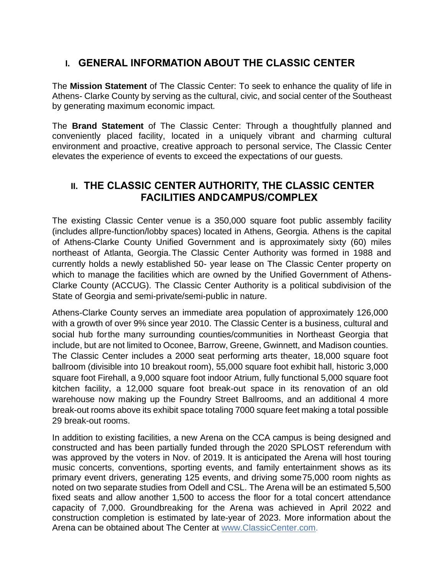## **I. GENERAL INFORMATION ABOUT THE CLASSIC CENTER**

The **Mission Statement** of The Classic Center: To seek to enhance the quality of life in Athens- Clarke County by serving as the cultural, civic, and social center of the Southeast by generating maximum economic impact.

The **Brand Statement** of The Classic Center: Through a thoughtfully planned and conveniently placed facility, located in a uniquely vibrant and charming cultural environment and proactive, creative approach to personal service, The Classic Center elevates the experience of events to exceed the expectations of our guests.

### **II. THE CLASSIC CENTER AUTHORITY, THE CLASSIC CENTER FACILITIES ANDCAMPUS/COMPLEX**

The existing Classic Center venue is a 350,000 square foot public assembly facility (includes allpre-function/lobby spaces) located in Athens, Georgia. Athens is the capital of Athens-Clarke County Unified Government and is approximately sixty (60) miles northeast of Atlanta, Georgia.The Classic Center Authority was formed in 1988 and currently holds a newly established 50- year lease on The Classic Center property on which to manage the facilities which are owned by the Unified Government of Athens-Clarke County (ACCUG). The Classic Center Authority is a political subdivision of the State of Georgia and semi-private/semi-public in nature.

Athens-Clarke County serves an immediate area population of approximately 126,000 with a growth of over 9% since year 2010. The Classic Center is a business, cultural and social hub forthe many surrounding counties/communities in Northeast Georgia that include, but are not limited to Oconee, Barrow, Greene, Gwinnett, and Madison counties. The Classic Center includes a 2000 seat performing arts theater, 18,000 square foot ballroom (divisible into 10 breakout room), 55,000 square foot exhibit hall, historic 3,000 square foot Firehall, a 9,000 square foot indoor Atrium, fully functional 5,000 square foot kitchen facility, a 12,000 square foot break-out space in its renovation of an old warehouse now making up the Foundry Street Ballrooms, and an additional 4 more break-out rooms above its exhibit space totaling 7000 square feet making a total possible 29 break-out rooms.

In addition to existing facilities, a new Arena on the CCA campus is being designed and constructed and has been partially funded through the 2020 SPLOST referendum with was approved by the voters in Nov. of 2019. It is anticipated the Arena will host touring music concerts, conventions, sporting events, and family entertainment shows as its primary event drivers, generating 125 events, and driving some75,000 room nights as noted on two separate studies from Odell and CSL. The Arena will be an estimated 5,500 fixed seats and allow another 1,500 to access the floor for a total concert attendance capacity of 7,000. Groundbreaking for the Arena was achieved in April 2022 and construction completion is estimated by late-year of 2023. More information about the Arena can be obtained about The Center at [www.ClassicCenter.com.](http://www.classiccenter.com/)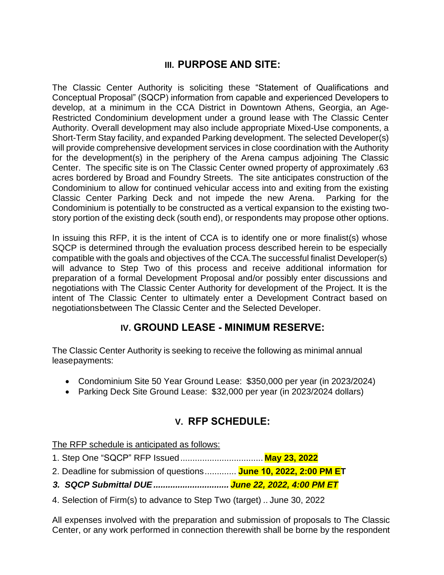## **III. PURPOSE AND SITE:**

The Classic Center Authority is soliciting these "Statement of Qualifications and Conceptual Proposal" (SQCP) information from capable and experienced Developers to develop, at a minimum in the CCA District in Downtown Athens, Georgia, an Age-Restricted Condominium development under a ground lease with The Classic Center Authority. Overall development may also include appropriate Mixed-Use components, a Short-Term Stay facility, and expanded Parking development. The selected Developer(s) will provide comprehensive development services in close coordination with the Authority for the development(s) in the periphery of the Arena campus adjoining The Classic Center. The specific site is on The Classic Center owned property of approximately .63 acres bordered by Broad and Foundry Streets. The site anticipates construction of the Condominium to allow for continued vehicular access into and exiting from the existing Classic Center Parking Deck and not impede the new Arena. Parking for the Condominium is potentially to be constructed as a vertical expansion to the existing twostory portion of the existing deck (south end), or respondents may propose other options.

In issuing this RFP, it is the intent of CCA is to identify one or more finalist(s) whose SQCP is determined through the evaluation process described herein to be especially compatible with the goals and objectives of the CCA.The successful finalist Developer(s) will advance to Step Two of this process and receive additional information for preparation of a formal Development Proposal and/or possibly enter discussions and negotiations with The Classic Center Authority for development of the Project. It is the intent of The Classic Center to ultimately enter a Development Contract based on negotiationsbetween The Classic Center and the Selected Developer.

## **IV. GROUND LEASE - MINIMUM RESERVE:**

The Classic Center Authority is seeking to receive the following as minimal annual leasepayments:

- Condominium Site 50 Year Ground Lease: \$350,000 per year (in 2023/2024)
- Parking Deck Site Ground Lease: \$32,000 per year (in 2023/2024 dollars)

## **V. RFP SCHEDULE:**

The RFP schedule is anticipated as follows:

- 1. Step One "SQCP" RFP Issued.................................. **May 23, 2022**
- 2. Deadline for submission of questions ............. **June 10, 2022, 2:00 PM ET**
- *3. SQCP Submittal DUE............................... June 22, 2022, 4:00 PM ET*
- 4. Selection of Firm(s) to advance to Step Two (target) .. June 30, 2022

All expenses involved with the preparation and submission of proposals to The Classic Center, or any work performed in connection therewith shall be borne by the respondent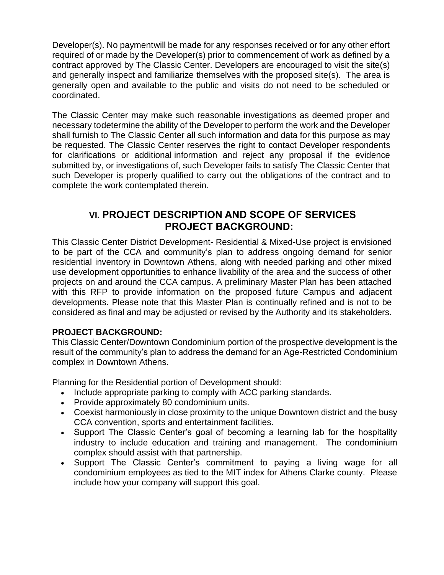Developer(s). No paymentwill be made for any responses received or for any other effort required of or made by the Developer(s) prior to commencement of work as defined by a contract approved by The Classic Center. Developers are encouraged to visit the site(s) and generally inspect and familiarize themselves with the proposed site(s). The area is generally open and available to the public and visits do not need to be scheduled or coordinated.

The Classic Center may make such reasonable investigations as deemed proper and necessary todetermine the ability of the Developer to perform the work and the Developer shall furnish to The Classic Center all such information and data for this purpose as may be requested. The Classic Center reserves the right to contact Developer respondents for clarifications or additional information and reject any proposal if the evidence submitted by, or investigations of, such Developer fails to satisfy The Classic Center that such Developer is properly qualified to carry out the obligations of the contract and to complete the work contemplated therein.

## **VI. PROJECT DESCRIPTION AND SCOPE OF SERVICES PROJECT BACKGROUND:**

This Classic Center District Development- Residential & Mixed-Use project is envisioned to be part of the CCA and community's plan to address ongoing demand for senior residential inventory in Downtown Athens, along with needed parking and other mixed use development opportunities to enhance livability of the area and the success of other projects on and around the CCA campus. A preliminary Master Plan has been attached with this RFP to provide information on the proposed future Campus and adjacent developments. Please note that this Master Plan is continually refined and is not to be considered as final and may be adjusted or revised by the Authority and its stakeholders.

#### **PROJECT BACKGROUND:**

This Classic Center/Downtown Condominium portion of the prospective development is the result of the community's plan to address the demand for an Age-Restricted Condominium complex in Downtown Athens.

Planning for the Residential portion of Development should:

- Include appropriate parking to comply with ACC parking standards.
- Provide approximately 80 condominium units.
- Coexist harmoniously in close proximity to the unique Downtown district and the busy CCA convention, sports and entertainment facilities.
- Support The Classic Center's goal of becoming a learning lab for the hospitality industry to include education and training and management. The condominium complex should assist with that partnership.
- Support The Classic Center's commitment to paying a living wage for all condominium employees as tied to the MIT index for Athens Clarke county. Please include how your company will support this goal.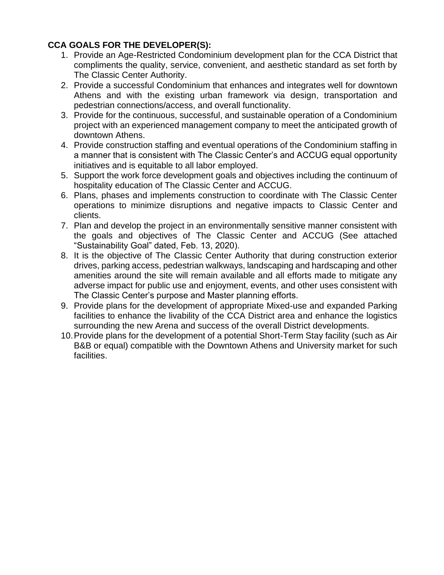#### **CCA GOALS FOR THE DEVELOPER(S):**

- 1. Provide an Age-Restricted Condominium development plan for the CCA District that compliments the quality, service, convenient, and aesthetic standard as set forth by The Classic Center Authority.
- 2. Provide a successful Condominium that enhances and integrates well for downtown Athens and with the existing urban framework via design, transportation and pedestrian connections/access, and overall functionality.
- 3. Provide for the continuous, successful, and sustainable operation of a Condominium project with an experienced management company to meet the anticipated growth of downtown Athens.
- 4. Provide construction staffing and eventual operations of the Condominium staffing in a manner that is consistent with The Classic Center's and ACCUG equal opportunity initiatives and is equitable to all labor employed.
- 5. Support the work force development goals and objectives including the continuum of hospitality education of The Classic Center and ACCUG.
- 6. Plans, phases and implements construction to coordinate with The Classic Center operations to minimize disruptions and negative impacts to Classic Center and clients.
- 7. Plan and develop the project in an environmentally sensitive manner consistent with the goals and objectives of The Classic Center and ACCUG (See attached "Sustainability Goal" dated, Feb. 13, 2020).
- 8. It is the objective of The Classic Center Authority that during construction exterior drives, parking access, pedestrian walkways, landscaping and hardscaping and other amenities around the site will remain available and all efforts made to mitigate any adverse impact for public use and enjoyment, events, and other uses consistent with The Classic Center's purpose and Master planning efforts.
- 9. Provide plans for the development of appropriate Mixed-use and expanded Parking facilities to enhance the livability of the CCA District area and enhance the logistics surrounding the new Arena and success of the overall District developments.
- 10.Provide plans for the development of a potential Short-Term Stay facility (such as Air B&B or equal) compatible with the Downtown Athens and University market for such facilities.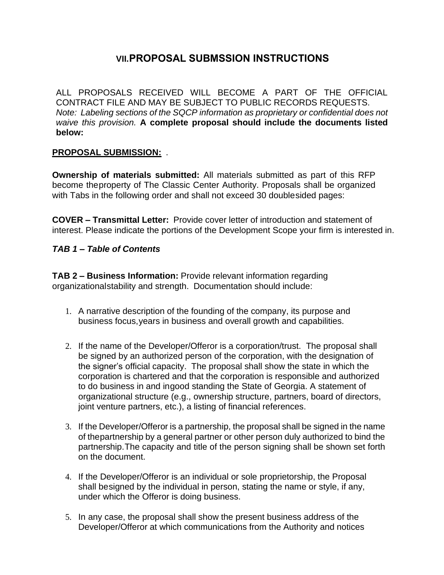## **VII.PROPOSAL SUBMSSION INSTRUCTIONS**

ALL PROPOSALS RECEIVED WILL BECOME A PART OF THE OFFICIAL CONTRACT FILE AND MAY BE SUBJECT TO PUBLIC RECORDS REQUESTS. *Note: Labeling sections of the SQCP information as proprietary or confidential does not waive this provision.* **A complete proposal should include the documents listed below:**

#### **PROPOSAL SUBMISSION:** .

**Ownership of materials submitted:** All materials submitted as part of this RFP become theproperty of The Classic Center Authority. Proposals shall be organized with Tabs in the following order and shall not exceed 30 doublesided pages:

**COVER – Transmittal Letter:** Provide cover letter of introduction and statement of interest. Please indicate the portions of the Development Scope your firm is interested in.

#### *TAB 1 – Table of Contents*

**TAB 2 – Business Information:** Provide relevant information regarding organizationalstability and strength. Documentation should include:

- 1. A narrative description of the founding of the company, its purpose and business focus,years in business and overall growth and capabilities.
- 2. If the name of the Developer/Offeror is a corporation/trust. The proposal shall be signed by an authorized person of the corporation, with the designation of the signer's official capacity. The proposal shall show the state in which the corporation is chartered and that the corporation is responsible and authorized to do business in and ingood standing the State of Georgia. A statement of organizational structure (e.g., ownership structure, partners, board of directors, joint venture partners, etc.), a listing of financial references.
- 3. If the Developer/Offeror is a partnership, the proposal shall be signed in the name of thepartnership by a general partner or other person duly authorized to bind the partnership.The capacity and title of the person signing shall be shown set forth on the document.
- 4. If the Developer/Offeror is an individual or sole proprietorship, the Proposal shall besigned by the individual in person, stating the name or style, if any, under which the Offeror is doing business.
- 5. In any case, the proposal shall show the present business address of the Developer/Offeror at which communications from the Authority and notices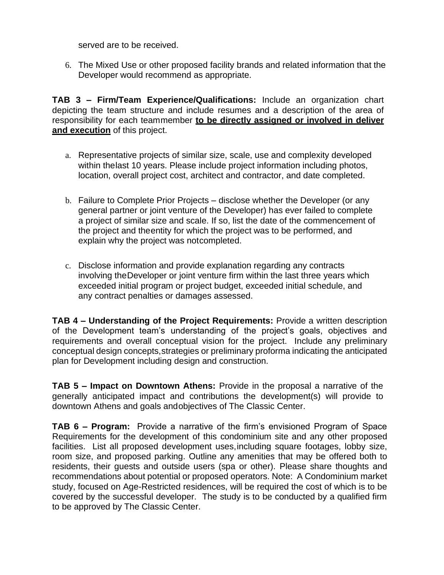served are to be received.

6. The Mixed Use or other proposed facility brands and related information that the Developer would recommend as appropriate.

**TAB 3 – Firm/Team Experience/Qualifications:** Include an organization chart depicting the team structure and include resumes and a description of the area of responsibility for each teammember **to be directly assigned or involved in deliver and execution** of this project.

- a. Representative projects of similar size, scale, use and complexity developed within thelast 10 years. Please include project information including photos, location, overall project cost, architect and contractor, and date completed.
- b. Failure to Complete Prior Projects disclose whether the Developer (or any general partner or joint venture of the Developer) has ever failed to complete a project of similar size and scale. If so, list the date of the commencement of the project and theentity for which the project was to be performed, and explain why the project was notcompleted.
- c. Disclose information and provide explanation regarding any contracts involving theDeveloper or joint venture firm within the last three years which exceeded initial program or project budget, exceeded initial schedule, and any contract penalties or damages assessed.

**TAB 4 – Understanding of the Project Requirements:** Provide a written description of the Development team's understanding of the project's goals, objectives and requirements and overall conceptual vision for the project. Include any preliminary conceptual design concepts,strategies or preliminary proforma indicating the anticipated plan for Development including design and construction.

**TAB 5 – Impact on Downtown Athens:** Provide in the proposal a narrative of the generally anticipated impact and contributions the development(s) will provide to downtown Athens and goals andobjectives of The Classic Center.

**TAB 6 – Program:** Provide a narrative of the firm's envisioned Program of Space Requirements for the development of this condominium site and any other proposed facilities. List all proposed development uses,including square footages, lobby size, room size, and proposed parking. Outline any amenities that may be offered both to residents, their guests and outside users (spa or other). Please share thoughts and recommendations about potential or proposed operators. Note: A Condominium market study, focused on Age-Restricted residences, will be required the cost of which is to be covered by the successful developer. The study is to be conducted by a qualified firm to be approved by The Classic Center.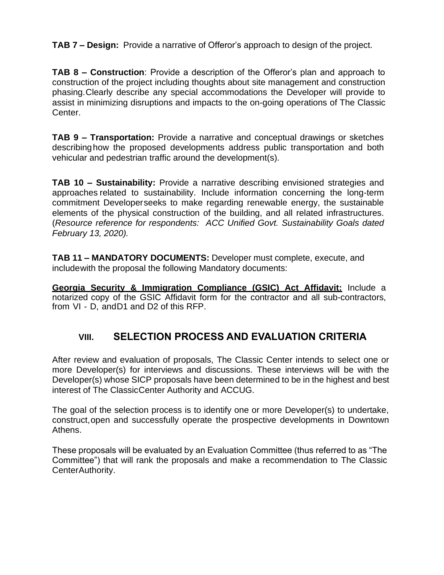**TAB 7 – Design:** Provide a narrative of Offeror's approach to design of the project.

**TAB 8 – Construction**: Provide a description of the Offeror's plan and approach to construction of the project including thoughts about site management and construction phasing.Clearly describe any special accommodations the Developer will provide to assist in minimizing disruptions and impacts to the on-going operations of The Classic Center.

**TAB 9 – Transportation:** Provide a narrative and conceptual drawings or sketches describinghow the proposed developments address public transportation and both vehicular and pedestrian traffic around the development(s).

**TAB 10 – Sustainability:** Provide a narrative describing envisioned strategies and approaches related to sustainability. Include information concerning the long-term commitment Developerseeks to make regarding renewable energy, the sustainable elements of the physical construction of the building, and all related infrastructures. (*Resource reference for respondents: ACC Unified Govt. Sustainability Goals dated February 13, 2020).*

**TAB 11 – MANDATORY DOCUMENTS:** Developer must complete, execute, and includewith the proposal the following Mandatory documents:

**Georgia Security & Immigration Compliance (GSIC) Act Affidavit:** Include a notarized copy of the GSIC Affidavit form for the contractor and all sub-contractors, from VI - D, andD1 and D2 of this RFP.

## **VIII. SELECTION PROCESS AND EVALUATION CRITERIA**

After review and evaluation of proposals, The Classic Center intends to select one or more Developer(s) for interviews and discussions. These interviews will be with the Developer(s) whose SICP proposals have been determined to be in the highest and best interest of The ClassicCenter Authority and ACCUG.

The goal of the selection process is to identify one or more Developer(s) to undertake, construct,open and successfully operate the prospective developments in Downtown Athens.

These proposals will be evaluated by an Evaluation Committee (thus referred to as "The Committee") that will rank the proposals and make a recommendation to The Classic CenterAuthority.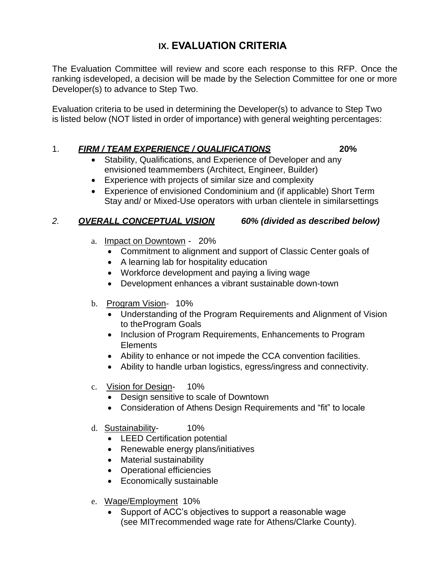## **IX. EVALUATION CRITERIA**

The Evaluation Committee will review and score each response to this RFP. Once the ranking isdeveloped, a decision will be made by the Selection Committee for one or more Developer(s) to advance to Step Two.

Evaluation criteria to be used in determining the Developer(s) to advance to Step Two is listed below (NOT listed in order of importance) with general weighting percentages:

#### 1. *FIRM / TEAM EXPERIENCE / QUALIFICATIONS* **20%**

- Stability, Qualifications, and Experience of Developer and any envisioned teammembers (Architect, Engineer, Builder)
- Experience with projects of similar size and complexity
- Experience of envisioned Condominium and (if applicable) Short Term Stay and/ or Mixed-Use operators with urban clientele in similarsettings

#### *2. OVERALL CONCEPTUAL VISION 60% (divided as described below)*

- a. Impact on Downtown 20%
	- Commitment to alignment and support of Classic Center goals of
	- A learning lab for hospitality education
	- Workforce development and paying a living wage
	- Development enhances a vibrant sustainable down-town
- b. Program Vision- 10%
	- Understanding of the Program Requirements and Alignment of Vision to theProgram Goals
	- Inclusion of Program Requirements, Enhancements to Program Elements
	- Ability to enhance or not impede the CCA convention facilities.
	- Ability to handle urban logistics, egress/ingress and connectivity.
- c. Vision for Design- 10%
	- Design sensitive to scale of Downtown
	- Consideration of Athens Design Requirements and "fit" to locale
- d. Sustainability- 10%
	- LEED Certification potential
	- Renewable energy plans/initiatives
	- Material sustainability
	- Operational efficiencies
	- Economically sustainable
- e. Wage/Employment 10%
	- Support of ACC's objectives to support a reasonable wage (see MITrecommended wage rate for Athens/Clarke County).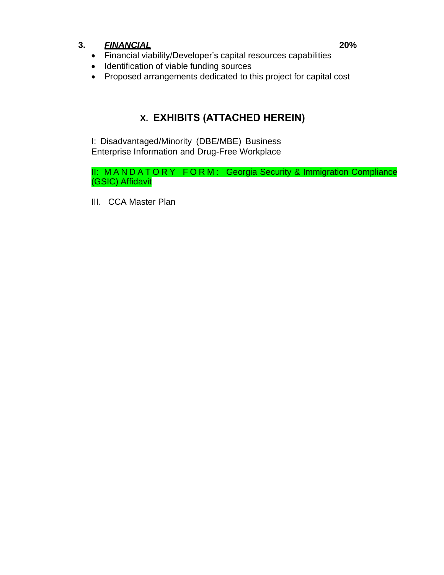#### **3.** *FINANCIAL* **20%**

## • Financial viability/Developer's capital resources capabilities

- Identification of viable funding sources
- Proposed arrangements dedicated to this project for capital cost

## **X. EXHIBITS (ATTACHED HEREIN)**

I: Disadvantaged/Minority (DBE/MBE) Business Enterprise Information and Drug-Free Workplace

II: MANDATORY FORM: Georgia Security & Immigration Compliance (GSIC) Affidavit

III. CCA Master Plan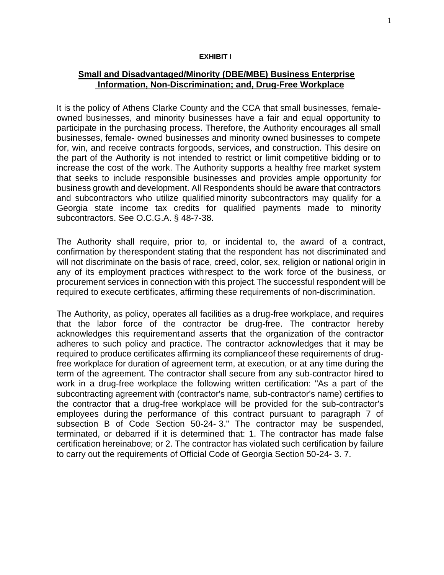#### **EXHIBIT I**

#### **Small and Disadvantaged/Minority (DBE/MBE) Business Enterprise Information, Non-Discrimination; and, Drug-Free Workplace**

It is the policy of Athens Clarke County and the CCA that small businesses, femaleowned businesses, and minority businesses have a fair and equal opportunity to participate in the purchasing process. Therefore, the Authority encourages all small businesses, female- owned businesses and minority owned businesses to compete for, win, and receive contracts forgoods, services, and construction. This desire on the part of the Authority is not intended to restrict or limit competitive bidding or to increase the cost of the work. The Authority supports a healthy free market system that seeks to include responsible businesses and provides ample opportunity for business growth and development. All Respondents should be aware that contractors and subcontractors who utilize qualified minority subcontractors may qualify for a Georgia state income tax credits for qualified payments made to minority subcontractors. See O.C.G.A. § 48-7-38.

The Authority shall require, prior to, or incidental to, the award of a contract, confirmation by therespondent stating that the respondent has not discriminated and will not discriminate on the basis of race, creed, color, sex, religion or national origin in any of its employment practices withrespect to the work force of the business, or procurement services in connection with this project.The successful respondent will be required to execute certificates, affirming these requirements of non-discrimination.

The Authority, as policy, operates all facilities as a drug-free workplace, and requires that the labor force of the contractor be drug-free. The contractor hereby acknowledges this requirementand asserts that the organization of the contractor adheres to such policy and practice. The contractor acknowledges that it may be required to produce certificates affirming its complianceof these requirements of drugfree workplace for duration of agreement term, at execution, or at any time during the term of the agreement. The contractor shall secure from any sub-contractor hired to work in a drug-free workplace the following written certification: "As a part of the subcontracting agreement with (contractor's name, sub-contractor's name) certifies to the contractor that a drug-free workplace will be provided for the sub-contractor's employees during the performance of this contract pursuant to paragraph 7 of subsection B of Code Section 50-24- 3." The contractor may be suspended, terminated, or debarred if it is determined that: 1. The contractor has made false certification hereinabove; or 2. The contractor has violated such certification by failure to carry out the requirements of Official Code of Georgia Section 50-24- 3. 7.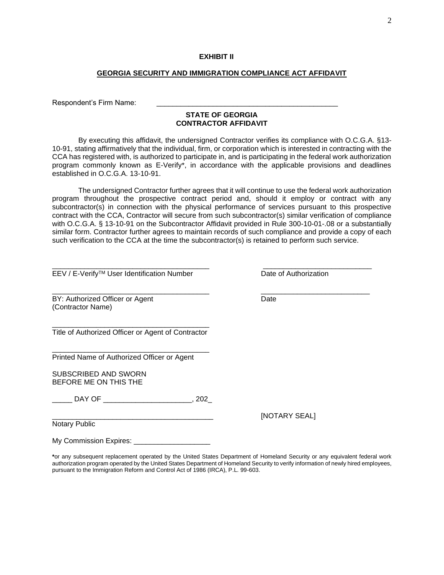#### **GEORGIA SECURITY AND IMMIGRATION COMPLIANCE ACT AFFIDAVIT**

Respondent's Firm Name:

#### **STATE OF GEORGIA CONTRACTOR AFFIDAVIT**

By executing this affidavit, the undersigned Contractor verifies its compliance with O.C.G.A. §13- 10-91, stating affirmatively that the individual, firm, or corporation which is interested in contracting with the CCA has registered with, is authorized to participate in, and is participating in the federal work authorization program commonly known as E-Verify\*, in accordance with the applicable provisions and deadlines established in O.C.G.A. 13-10-91.

The undersigned Contractor further agrees that it will continue to use the federal work authorization program throughout the prospective contract period and, should it employ or contract with any subcontractor(s) in connection with the physical performance of services pursuant to this prospective contract with the CCA, Contractor will secure from such subcontractor(s) similar verification of compliance with O.C.G.A. § 13-10-91 on the Subcontractor Affidavit provided in Rule 300-10-01-.08 or a substantially similar form. Contractor further agrees to maintain records of such compliance and provide a copy of each such verification to the CCA at the time the subcontractor(s) is retained to perform such service.

 $\overline{\phantom{a}}$  , and the set of the set of the set of the set of the set of the set of the set of the set of the set of the set of the set of the set of the set of the set of the set of the set of the set of the set of the s

EEV / E-Verify<sup>™</sup> User Identification Number Date of Authorization

BY: Authorized Officer or Agent Date (Contractor Name)

\_\_\_\_\_\_\_\_\_\_\_\_\_\_\_\_\_\_\_\_\_\_\_\_\_\_\_\_\_\_\_\_\_\_\_\_\_\_\_ Title of Authorized Officer or Agent of Contractor

\_\_\_\_\_\_\_\_\_\_\_\_\_\_\_\_\_\_\_\_\_\_\_\_\_\_\_\_\_\_\_\_\_\_\_\_\_\_\_

Printed Name of Authorized Officer or Agent

SUBSCRIBED AND SWORN BEFORE ME ON THIS THE

\_\_\_\_\_ DAY OF \_\_\_\_\_\_\_\_\_\_\_\_\_\_\_\_\_\_\_\_\_\_, 202\_

Notary Public

My Commission Expires:

**\***or any subsequent replacement operated by the United States Department of Homeland Security or any equivalent federal work authorization program operated by the United States Department of Homeland Security to verify information of newly hired employees, pursuant to the Immigration Reform and Control Act of 1986 (IRCA), P.L. 99-603.

[NOTARY SEAL]

\_\_\_\_\_\_\_\_\_\_\_\_\_\_\_\_\_\_\_\_\_\_\_\_\_\_\_\_\_\_\_\_\_\_\_\_\_\_\_ \_\_\_\_\_\_\_\_\_\_\_\_\_\_\_\_\_\_\_\_\_\_\_\_\_\_\_